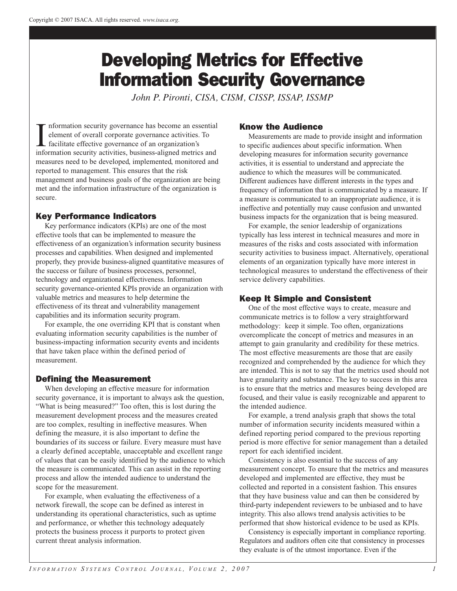# Developing Metrics for Effective Information Security Governance

*John P. Pironti, CISA, CISM, CISSP, ISSAP, ISSMP*

 $\prod_{\text{info}}$ nformation security governance has become an essential element of overall corporate governance activities. To facilitate effective governance of an organization's information security activities, business-aligned metrics and measures need to be developed, implemented, monitored and reported to management. This ensures that the risk management and business goals of the organization are being met and the information infrastructure of the organization is secure.

# Key Performance Indicators

Key performance indicators (KPIs) are one of the most effective tools that can be implemented to measure the effectiveness of an organization's information security business processes and capabilities. When designed and implemented properly, they provide business-aligned quantitative measures of the success or failure of business processes, personnel, technology and organizational effectiveness. Information security governance-oriented KPIs provide an organization with valuable metrics and measures to help determine the effectiveness of its threat and vulnerability management capabilities and its information security program.

For example, the one overriding KPI that is constant when evaluating information security capabilities is the number of business-impacting information security events and incidents that have taken place within the defined period of measurement.

# Defining the Measurement

When developing an effective measure for information security governance, it is important to always ask the question, "What is being measured?" Too often, this is lost during the measurement development process and the measures created are too complex, resulting in ineffective measures. When defining the measure, it is also important to define the boundaries of its success or failure. Every measure must have a clearly defined acceptable, unacceptable and excellent range of values that can be easily identified by the audience to which the measure is communicated. This can assist in the reporting process and allow the intended audience to understand the scope for the measurement.

For example, when evaluating the effectiveness of a network firewall, the scope can be defined as interest in understanding its operational characteristics, such as uptime and performance, or whether this technology adequately protects the business process it purports to protect given current threat analysis information.

#### Know the Audience

Measurements are made to provide insight and information to specific audiences about specific information. When developing measures for information security governance activities, it is essential to understand and appreciate the audience to which the measures will be communicated. Different audiences have different interests in the types and frequency of information that is communicated by a measure. If a measure is communicated to an inappropriate audience, it is ineffective and potentially may cause confusion and unwanted business impacts for the organization that is being measured.

For example, the senior leadership of organizations typically has less interest in technical measures and more in measures of the risks and costs associated with information security activities to business impact. Alternatively, operational elements of an organization typically have more interest in technological measures to understand the effectiveness of their service delivery capabilities.

# Keep It Simple and Consistent

One of the most effective ways to create, measure and communicate metrics is to follow a very straightforward methodology: keep it simple. Too often, organizations overcomplicate the concept of metrics and measures in an attempt to gain granularity and credibility for these metrics. The most effective measurements are those that are easily recognized and comprehended by the audience for which they are intended. This is not to say that the metrics used should not have granularity and substance. The key to success in this area is to ensure that the metrics and measures being developed are focused, and their value is easily recognizable and apparent to the intended audience.

For example, a trend analysis graph that shows the total number of information security incidents measured within a defined reporting period compared to the previous reporting period is more effective for senior management than a detailed report for each identified incident.

Consistency is also essential to the success of any measurement concept. To ensure that the metrics and measures developed and implemented are effective, they must be collected and reported in a consistent fashion. This ensures that they have business value and can then be considered by third-party independent reviewers to be unbiased and to have integrity. This also allows trend analysis activities to be performed that show historical evidence to be used as KPIs.

Consistency is especially important in compliance reporting. Regulators and auditors often cite that consistency in processes they evaluate is of the utmost importance. Even if the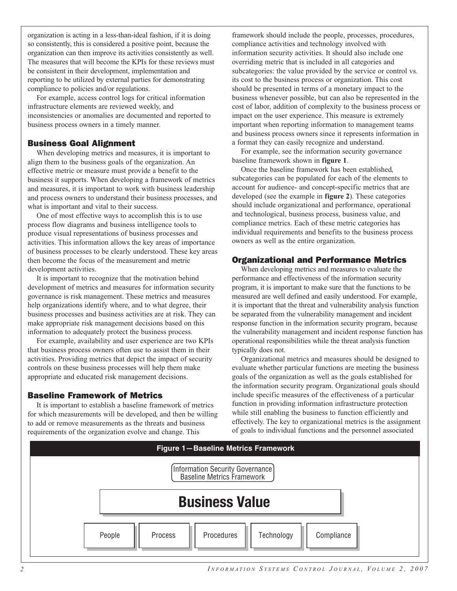organization is acting in a less-than-ideal fashion, if it is doing so consistently, this is considered a positive point, because the organization can then improve its activities consistently as well. The measures that will become the KPIs for these reviews must be consistent in their development, implementation and reporting to be utilized by external parties for demonstrating compliance to policies and/or regulations.

For example, access control logs for critical information infrastructure elements are reviewed weekly, and inconsistencies or anomalies are documented and reported to business process owners in a timely manner.

#### Business Goal Alignment

When developing metrics and measures, it is important to align them to the business goals of the organization. An effective metric or measure must provide a benefit to the business it supports. When developing a framework of metrics and measures, it is important to work with business leadership and process owners to understand their business processes, and what is important and vital to their success.

One of most effective ways to accomplish this is to use process flow diagrams and business intelligence tools to produce visual representations of business processes and activities. This information allows the key areas of importance of business processes to be clearly understood. These key areas then become the focus of the measurement and metric development activities.

It is important to recognize that the motivation behind development of metrics and measures for information security governance is risk management. These metrics and measures help organizations identify where, and to what degree, their business processes and business activities are at risk. They can make appropriate risk management decisions based on this information to adequately protect the business process.

For example, availability and user experience are two KPIs that business process owners often use to assist them in their activities. Providing metrics that depict the impact of security controls on these business processes will help them make appropriate and educated risk management decisions.

#### Baseline Framework of Metrics

It is important to establish a baseline framework of metrics for which measurements will be developed, and then be willing to add or remove measurements as the threats and business requirements of the organization evolve and change. This

framework should include the people, processes, procedures, compliance activities and technology involved with information security activities. It should also include one overriding metric that is included in all categories and subcategories: the value provided by the service or control vs. its cost to the business process or organization. This cost should be presented in terms of a monetary impact to the business whenever possible, but can also be represented in the cost of labor, addition of complexity to the business process or impact on the user experience. This measure is extremely important when reporting information to management teams and business process owners since it represents information in a format they can easily recognize and understand.

For example, see the information security governance baseline framework shown in **figure 1**.

Once the baseline framework has been established, subcategories can be populated for each of the elements to account for audience- and concept-specific metrics that are developed (see the example in **figure 2**). These categories should include organizational and performance, operational and technological, business process, business value, and compliance metrics. Each of these metric categories has individual requirements and benefits to the business process owners as well as the entire organization.

#### Organizational and Performance Metrics

When developing metrics and measures to evaluate the performance and effectiveness of the information security program, it is important to make sure that the functions to be measured are well defined and easily understood. For example, it is important that the threat and vulnerability analysis function be separated from the vulnerability management and incident response function in the information security program, because the vulnerability management and incident response function has operational responsibilities while the threat analysis function typically does not.

Organizational metrics and measures should be designed to evaluate whether particular functions are meeting the business goals of the organization as well as the goals established for the information security program. Organizational goals should include specific measures of the effectiveness of a particular function in providing information infrastructure protection while still enabling the business to function efficiently and effectively. The key to organizational metrics is the assignment of goals to individual functions and the personnel associated

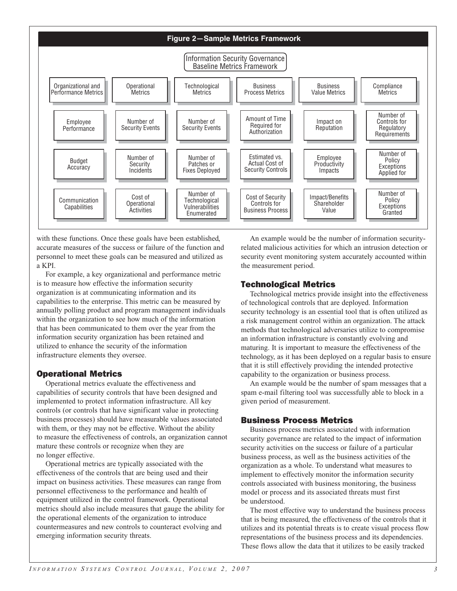

with these functions. Once these goals have been established, accurate measures of the success or failure of the function and personnel to meet these goals can be measured and utilized as a KPI.

For example, a key organizational and performance metric is to measure how effective the information security organization is at communicating information and its capabilities to the enterprise. This metric can be measured by annually polling product and program management individuals within the organization to see how much of the information that has been communicated to them over the year from the information security organization has been retained and utilized to enhance the security of the information infrastructure elements they oversee.

## Operational Metrics

Operational metrics evaluate the effectiveness and capabilities of security controls that have been designed and implemented to protect information infrastructure. All key controls (or controls that have significant value in protecting business processes) should have measurable values associated with them, or they may not be effective. Without the ability to measure the effectiveness of controls, an organization cannot mature these controls or recognize when they are no longer effective.

Operational metrics are typically associated with the effectiveness of the controls that are being used and their impact on business activities. These measures can range from personnel effectiveness to the performance and health of equipment utilized in the control framework. Operational metrics should also include measures that gauge the ability for the operational elements of the organization to introduce countermeasures and new controls to counteract evolving and emerging information security threats.

An example would be the number of information securityrelated malicious activities for which an intrusion detection or security event monitoring system accurately accounted within the measurement period.

## Technological Metrics

Technological metrics provide insight into the effectiveness of technological controls that are deployed. Information security technology is an essential tool that is often utilized as a risk management control within an organization. The attack methods that technological adversaries utilize to compromise an information infrastructure is constantly evolving and maturing. It is important to measure the effectiveness of the technology, as it has been deployed on a regular basis to ensure that it is still effectively providing the intended protective capability to the organization or business process.

An example would be the number of spam messages that a spam e-mail filtering tool was successfully able to block in a given period of measurement.

# Business Process Metrics

Business process metrics associated with information security governance are related to the impact of information security activities on the success or failure of a particular business process, as well as the business activities of the organization as a whole. To understand what measures to implement to effectively monitor the information security controls associated with business monitoring, the business model or process and its associated threats must first be understood.

The most effective way to understand the business process that is being measured, the effectiveness of the controls that it utilizes and its potential threats is to create visual process flow representations of the business process and its dependencies. These flows allow the data that it utilizes to be easily tracked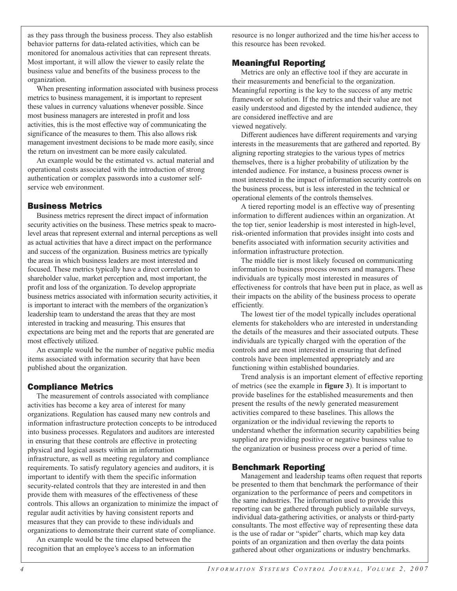as they pass through the business process. They also establish behavior patterns for data-related activities, which can be monitored for anomalous activities that can represent threats. Most important, it will allow the viewer to easily relate the business value and benefits of the business process to the organization.

When presenting information associated with business process metrics to business management, it is important to represent these values in currency valuations whenever possible. Since most business managers are interested in profit and loss activities, this is the most effective way of communicating the significance of the measures to them. This also allows risk management investment decisions to be made more easily, since the return on investment can be more easily calculated.

An example would be the estimated vs. actual material and operational costs associated with the introduction of strong authentication or complex passwords into a customer selfservice web environment.

## Business Metrics

Business metrics represent the direct impact of information security activities on the business. These metrics speak to macrolevel areas that represent external and internal perceptions as well as actual activities that have a direct impact on the performance and success of the organization. Business metrics are typically the areas in which business leaders are most interested and focused. These metrics typically have a direct correlation to shareholder value, market perception and, most important, the profit and loss of the organization. To develop appropriate business metrics associated with information security activities, it is important to interact with the members of the organization's leadership team to understand the areas that they are most interested in tracking and measuring. This ensures that expectations are being met and the reports that are generated are most effectively utilized.

An example would be the number of negative public media items associated with information security that have been published about the organization.

## Compliance Metrics

The measurement of controls associated with compliance activities has become a key area of interest for many organizations. Regulation has caused many new controls and information infrastructure protection concepts to be introduced into business processes. Regulators and auditors are interested in ensuring that these controls are effective in protecting physical and logical assets within an information infrastructure, as well as meeting regulatory and compliance requirements. To satisfy regulatory agencies and auditors, it is important to identify with them the specific information security-related controls that they are interested in and then provide them with measures of the effectiveness of these controls. This allows an organization to minimize the impact of regular audit activities by having consistent reports and measures that they can provide to these individuals and organizations to demonstrate their current state of compliance.

An example would be the time elapsed between the recognition that an employee's access to an information resource is no longer authorized and the time his/her access to this resource has been revoked.

## Meaningful Reporting

Metrics are only an effective tool if they are accurate in their measurements and beneficial to the organization. Meaningful reporting is the key to the success of any metric framework or solution. If the metrics and their value are not easily understood and digested by the intended audience, they are considered ineffective and are viewed negatively.

Different audiences have different requirements and varying interests in the measurements that are gathered and reported. By aligning reporting strategies to the various types of metrics themselves, there is a higher probability of utilization by the intended audience. For instance, a business process owner is most interested in the impact of information security controls on the business process, but is less interested in the technical or operational elements of the controls themselves.

A tiered reporting model is an effective way of presenting information to different audiences within an organization. At the top tier, senior leadership is most interested in high-level, risk-oriented information that provides insight into costs and benefits associated with information security activities and information infrastructure protection.

The middle tier is most likely focused on communicating information to business process owners and managers. These individuals are typically most interested in measures of effectiveness for controls that have been put in place, as well as their impacts on the ability of the business process to operate efficiently.

The lowest tier of the model typically includes operational elements for stakeholders who are interested in understanding the details of the measures and their associated outputs. These individuals are typically charged with the operation of the controls and are most interested in ensuring that defined controls have been implemented appropriately and are functioning within established boundaries.

Trend analysis is an important element of effective reporting of metrics (see the example in **figure 3**). It is important to provide baselines for the established measurements and then present the results of the newly generated measurement activities compared to these baselines. This allows the organization or the individual reviewing the reports to understand whether the information security capabilities being supplied are providing positive or negative business value to the organization or business process over a period of time.

# Benchmark Reporting

Management and leadership teams often request that reports be presented to them that benchmark the performance of their organization to the performance of peers and competitors in the same industries. The information used to provide this reporting can be gathered through publicly available surveys, individual data-gathering activities, or analysts or third-party consultants. The most effective way of representing these data is the use of radar or "spider" charts, which map key data points of an organization and then overlay the data points gathered about other organizations or industry benchmarks.